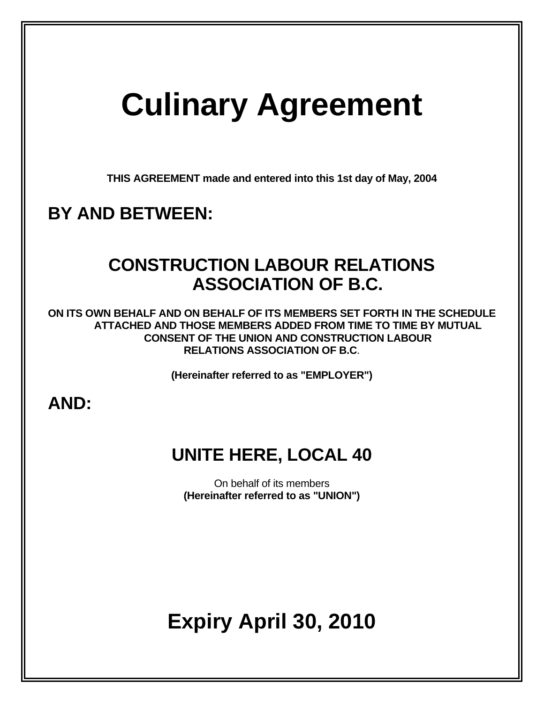# **Culinary Agreement**

**THIS AGREEMENT made and entered into this 1st day of May, 2004** 

## **BY AND BETWEEN:**

## **CONSTRUCTION LABOUR RELATIONS ASSOCIATION OF B.C.**

**ON ITS OWN BEHALF AND ON BEHALF OF ITS MEMBERS SET FORTH IN THE SCHEDULE ATTACHED AND THOSE MEMBERS ADDED FROM TIME TO TIME BY MUTUAL CONSENT OF THE UNION AND CONSTRUCTION LABOUR RELATIONS ASSOCIATION OF B.C**.

**(Hereinafter referred to as "EMPLOYER")** 

### **AND:**

## **UNITE HERE, LOCAL 40**

On behalf of its members **(Hereinafter referred to as "UNION")** 

## **Expiry April 30, 2010**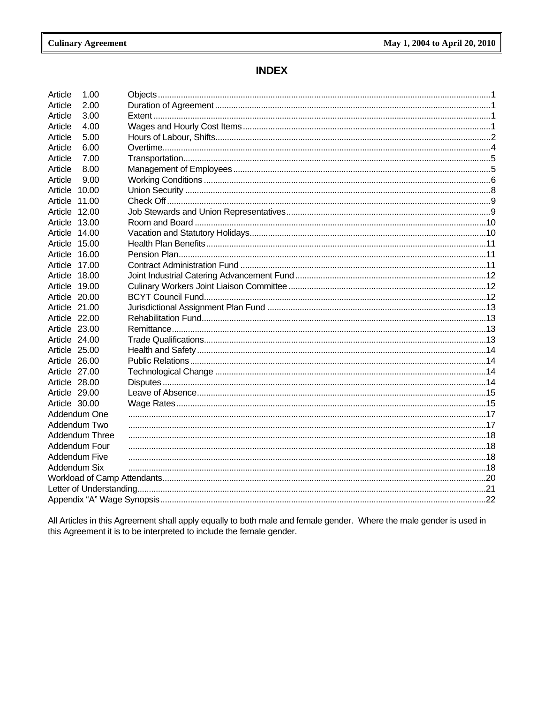### **INDEX**

| Article<br>1.00      |  |  |  |
|----------------------|--|--|--|
| Article<br>2.00      |  |  |  |
| Article<br>3.00      |  |  |  |
| Article<br>4.00      |  |  |  |
| Article<br>5.00      |  |  |  |
| Article<br>6.00      |  |  |  |
| Article<br>7.00      |  |  |  |
| Article<br>8.00      |  |  |  |
| Article<br>9.00      |  |  |  |
| Article 10.00        |  |  |  |
| Article 11.00        |  |  |  |
| Article 12.00        |  |  |  |
| Article 13.00        |  |  |  |
| Article 14.00        |  |  |  |
| Article 15.00        |  |  |  |
| Article 16.00        |  |  |  |
| Article 17.00        |  |  |  |
| Article 18.00        |  |  |  |
| Article 19.00        |  |  |  |
| Article 20.00        |  |  |  |
| Article 21.00        |  |  |  |
| Article 22.00        |  |  |  |
| Article 23.00        |  |  |  |
| Article 24.00        |  |  |  |
| Article 25.00        |  |  |  |
| Article 26.00        |  |  |  |
| Article 27.00        |  |  |  |
| Article 28.00        |  |  |  |
| Article 29.00        |  |  |  |
| Article 30.00        |  |  |  |
| Addendum One         |  |  |  |
| Addendum Two         |  |  |  |
| Addendum Three       |  |  |  |
| Addendum Four        |  |  |  |
| <b>Addendum Five</b> |  |  |  |
| Addendum Six         |  |  |  |
|                      |  |  |  |
|                      |  |  |  |
|                      |  |  |  |
|                      |  |  |  |

All Articles in this Agreement shall apply equally to both male and female gender. Where the male gender is used in this Agreement it is to be interpreted to include the female gender.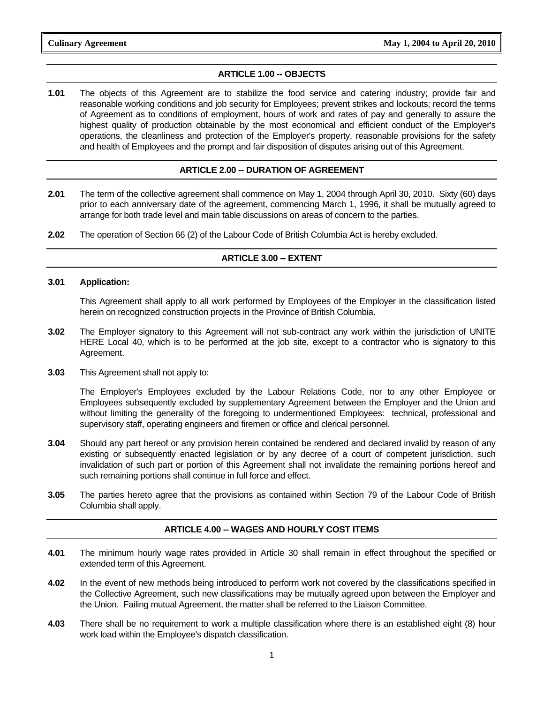#### **ARTICLE 1.00 -- OBJECTS**

**1.01** The objects of this Agreement are to stabilize the food service and catering industry; provide fair and reasonable working conditions and job security for Employees; prevent strikes and lockouts; record the terms of Agreement as to conditions of employment, hours of work and rates of pay and generally to assure the highest quality of production obtainable by the most economical and efficient conduct of the Employer's operations, the cleanliness and protection of the Employer's property, reasonable provisions for the safety and health of Employees and the prompt and fair disposition of disputes arising out of this Agreement.

#### **ARTICLE 2.00 -- DURATION OF AGREEMENT**

- **2.01** The term of the collective agreement shall commence on May 1, 2004 through April 30, 2010. Sixty (60) days prior to each anniversary date of the agreement, commencing March 1, 1996, it shall be mutually agreed to arrange for both trade level and main table discussions on areas of concern to the parties.
- **2.02** The operation of Section 66 (2) of the Labour Code of British Columbia Act is hereby excluded.

#### **ARTICLE 3.00 -- EXTENT**

#### **3.01 Application:**

 This Agreement shall apply to all work performed by Employees of the Employer in the classification listed herein on recognized construction projects in the Province of British Columbia.

- **3.02** The Employer signatory to this Agreement will not sub-contract any work within the jurisdiction of UNITE HERE Local 40, which is to be performed at the job site, except to a contractor who is signatory to this Agreement.
- **3.03** This Agreement shall not apply to:

 The Employer's Employees excluded by the Labour Relations Code, nor to any other Employee or Employees subsequently excluded by supplementary Agreement between the Employer and the Union and without limiting the generality of the foregoing to undermentioned Employees: technical, professional and supervisory staff, operating engineers and firemen or office and clerical personnel.

- **3.04** Should any part hereof or any provision herein contained be rendered and declared invalid by reason of any existing or subsequently enacted legislation or by any decree of a court of competent jurisdiction, such invalidation of such part or portion of this Agreement shall not invalidate the remaining portions hereof and such remaining portions shall continue in full force and effect.
- **3.05** The parties hereto agree that the provisions as contained within Section 79 of the Labour Code of British Columbia shall apply.

#### **ARTICLE 4.00 -- WAGES AND HOURLY COST ITEMS**

- **4.01** The minimum hourly wage rates provided in Article 30 shall remain in effect throughout the specified or extended term of this Agreement.
- **4.02** In the event of new methods being introduced to perform work not covered by the classifications specified in the Collective Agreement, such new classifications may be mutually agreed upon between the Employer and the Union. Failing mutual Agreement, the matter shall be referred to the Liaison Committee.
- **4.03** There shall be no requirement to work a multiple classification where there is an established eight (8) hour work load within the Employee's dispatch classification.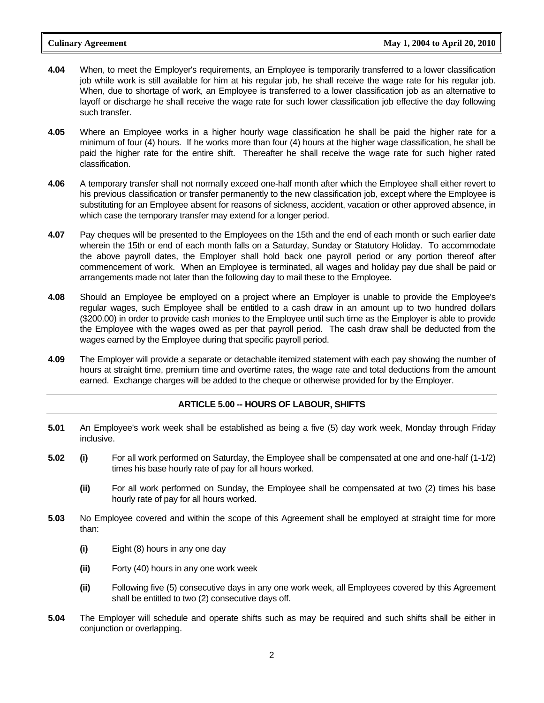- **4.04** When, to meet the Employer's requirements, an Employee is temporarily transferred to a lower classification job while work is still available for him at his regular job, he shall receive the wage rate for his regular job. When, due to shortage of work, an Employee is transferred to a lower classification job as an alternative to layoff or discharge he shall receive the wage rate for such lower classification job effective the day following such transfer.
- **4.05** Where an Employee works in a higher hourly wage classification he shall be paid the higher rate for a minimum of four (4) hours. If he works more than four (4) hours at the higher wage classification, he shall be paid the higher rate for the entire shift. Thereafter he shall receive the wage rate for such higher rated classification.
- **4.06** A temporary transfer shall not normally exceed one-half month after which the Employee shall either revert to his previous classification or transfer permanently to the new classification job, except where the Employee is substituting for an Employee absent for reasons of sickness, accident, vacation or other approved absence, in which case the temporary transfer may extend for a longer period.
- **4.07** Pay cheques will be presented to the Employees on the 15th and the end of each month or such earlier date wherein the 15th or end of each month falls on a Saturday, Sunday or Statutory Holiday. To accommodate the above payroll dates, the Employer shall hold back one payroll period or any portion thereof after commencement of work. When an Employee is terminated, all wages and holiday pay due shall be paid or arrangements made not later than the following day to mail these to the Employee.
- **4.08** Should an Employee be employed on a project where an Employer is unable to provide the Employee's regular wages, such Employee shall be entitled to a cash draw in an amount up to two hundred dollars (\$200.00) in order to provide cash monies to the Employee until such time as the Employer is able to provide the Employee with the wages owed as per that payroll period. The cash draw shall be deducted from the wages earned by the Employee during that specific payroll period.
- **4.09** The Employer will provide a separate or detachable itemized statement with each pay showing the number of hours at straight time, premium time and overtime rates, the wage rate and total deductions from the amount earned. Exchange charges will be added to the cheque or otherwise provided for by the Employer.

#### **ARTICLE 5.00 -- HOURS OF LABOUR, SHIFTS**

- **5.01** An Employee's work week shall be established as being a five (5) day work week, Monday through Friday inclusive.
- **5.02 (i)** For all work performed on Saturday, the Employee shall be compensated at one and one-half (1-1/2) times his base hourly rate of pay for all hours worked.
	- **(ii)** For all work performed on Sunday, the Employee shall be compensated at two (2) times his base hourly rate of pay for all hours worked.
- **5.03** No Employee covered and within the scope of this Agreement shall be employed at straight time for more than:
	- **(i)** Eight (8) hours in any one day
	- **(ii)** Forty (40) hours in any one work week
	- **(ii)** Following five (5) consecutive days in any one work week, all Employees covered by this Agreement shall be entitled to two (2) consecutive days off.
- **5.04** The Employer will schedule and operate shifts such as may be required and such shifts shall be either in conjunction or overlapping.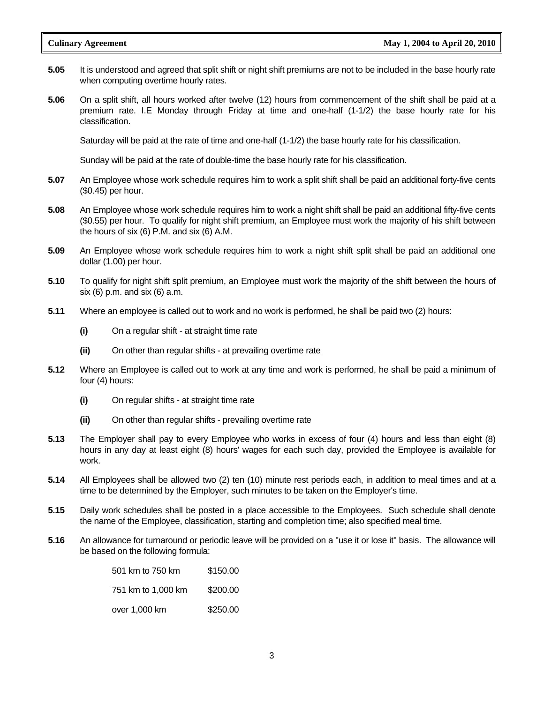- **5.05** It is understood and agreed that split shift or night shift premiums are not to be included in the base hourly rate when computing overtime hourly rates.
- **5.06** On a split shift, all hours worked after twelve (12) hours from commencement of the shift shall be paid at a premium rate. I.E Monday through Friday at time and one-half (1-1/2) the base hourly rate for his classification.

Saturday will be paid at the rate of time and one-half (1-1/2) the base hourly rate for his classification.

Sunday will be paid at the rate of double-time the base hourly rate for his classification.

- **5.07** An Employee whose work schedule requires him to work a split shift shall be paid an additional forty-five cents (\$0.45) per hour.
- **5.08** An Employee whose work schedule requires him to work a night shift shall be paid an additional fifty-five cents (\$0.55) per hour. To qualify for night shift premium, an Employee must work the majority of his shift between the hours of six (6) P.M. and six (6) A.M.
- **5.09** An Employee whose work schedule requires him to work a night shift split shall be paid an additional one dollar (1.00) per hour.
- **5.10** To qualify for night shift split premium, an Employee must work the majority of the shift between the hours of six (6) p.m. and six (6) a.m.
- **5.11** Where an employee is called out to work and no work is performed, he shall be paid two (2) hours:
	- **(i)** On a regular shift at straight time rate
	- **(ii)** On other than regular shifts at prevailing overtime rate
- **5.12** Where an Employee is called out to work at any time and work is performed, he shall be paid a minimum of four (4) hours:
	- **(i)** On regular shifts at straight time rate
	- **(ii)** On other than regular shifts prevailing overtime rate
- **5.13** The Employer shall pay to every Employee who works in excess of four (4) hours and less than eight (8) hours in any day at least eight (8) hours' wages for each such day, provided the Employee is available for work.
- **5.14** All Employees shall be allowed two (2) ten (10) minute rest periods each, in addition to meal times and at a time to be determined by the Employer, such minutes to be taken on the Employer's time.
- **5.15** Daily work schedules shall be posted in a place accessible to the Employees. Such schedule shall denote the name of the Employee, classification, starting and completion time; also specified meal time.
- **5.16** An allowance for turnaround or periodic leave will be provided on a "use it or lose it" basis. The allowance will be based on the following formula:

| 501 km to 750 km   | \$150.00 |
|--------------------|----------|
| 751 km to 1,000 km | \$200.00 |
| over 1,000 km      | \$250.00 |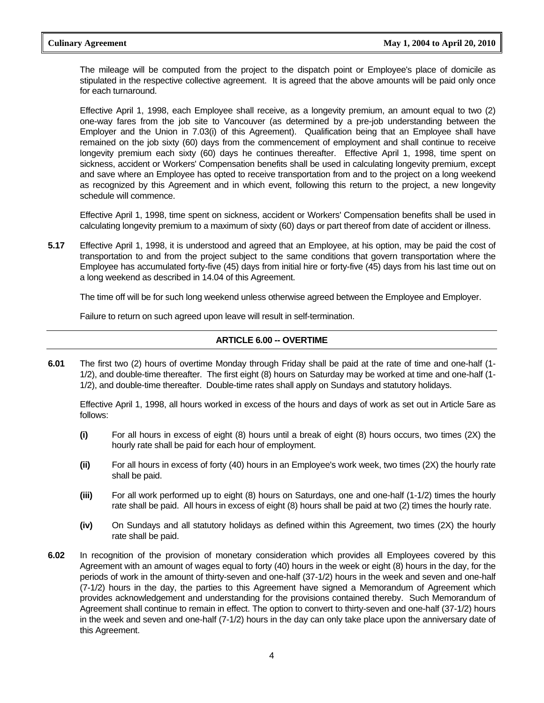The mileage will be computed from the project to the dispatch point or Employee's place of domicile as stipulated in the respective collective agreement. It is agreed that the above amounts will be paid only once for each turnaround.

 Effective April 1, 1998, each Employee shall receive, as a longevity premium, an amount equal to two (2) one-way fares from the job site to Vancouver (as determined by a pre-job understanding between the Employer and the Union in 7.03(i) of this Agreement). Qualification being that an Employee shall have remained on the job sixty (60) days from the commencement of employment and shall continue to receive longevity premium each sixty (60) days he continues thereafter. Effective April 1, 1998, time spent on sickness, accident or Workers' Compensation benefits shall be used in calculating longevity premium, except and save where an Employee has opted to receive transportation from and to the project on a long weekend as recognized by this Agreement and in which event, following this return to the project, a new longevity schedule will commence.

 Effective April 1, 1998, time spent on sickness, accident or Workers' Compensation benefits shall be used in calculating longevity premium to a maximum of sixty (60) days or part thereof from date of accident or illness.

**5.17** Effective April 1, 1998, it is understood and agreed that an Employee, at his option, may be paid the cost of transportation to and from the project subject to the same conditions that govern transportation where the Employee has accumulated forty-five (45) days from initial hire or forty-five (45) days from his last time out on a long weekend as described in 14.04 of this Agreement.

The time off will be for such long weekend unless otherwise agreed between the Employee and Employer.

Failure to return on such agreed upon leave will result in self-termination.

#### **ARTICLE 6.00 -- OVERTIME**

**6.01** The first two (2) hours of overtime Monday through Friday shall be paid at the rate of time and one-half (1- 1/2), and double-time thereafter. The first eight (8) hours on Saturday may be worked at time and one-half (1- 1/2), and double-time thereafter. Double-time rates shall apply on Sundays and statutory holidays.

 Effective April 1, 1998, all hours worked in excess of the hours and days of work as set out in Article 5are as follows:

- **(i)** For all hours in excess of eight (8) hours until a break of eight (8) hours occurs, two times (2X) the hourly rate shall be paid for each hour of employment.
- **(ii)** For all hours in excess of forty (40) hours in an Employee's work week, two times (2X) the hourly rate shall be paid.
- **(iii)** For all work performed up to eight (8) hours on Saturdays, one and one-half (1-1/2) times the hourly rate shall be paid. All hours in excess of eight (8) hours shall be paid at two (2) times the hourly rate.
- **(iv)** On Sundays and all statutory holidays as defined within this Agreement, two times (2X) the hourly rate shall be paid.
- **6.02** In recognition of the provision of monetary consideration which provides all Employees covered by this Agreement with an amount of wages equal to forty (40) hours in the week or eight (8) hours in the day, for the periods of work in the amount of thirty-seven and one-half (37-1/2) hours in the week and seven and one-half (7-1/2) hours in the day, the parties to this Agreement have signed a Memorandum of Agreement which provides acknowledgement and understanding for the provisions contained thereby. Such Memorandum of Agreement shall continue to remain in effect. The option to convert to thirty-seven and one-half (37-1/2) hours in the week and seven and one-half (7-1/2) hours in the day can only take place upon the anniversary date of this Agreement.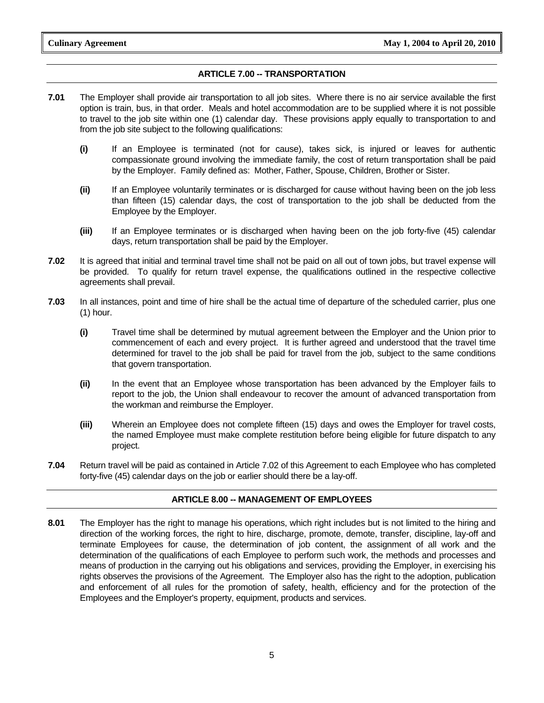#### **ARTICLE 7.00 -- TRANSPORTATION**

- **7.01** The Employer shall provide air transportation to all job sites. Where there is no air service available the first option is train, bus, in that order. Meals and hotel accommodation are to be supplied where it is not possible to travel to the job site within one (1) calendar day. These provisions apply equally to transportation to and from the job site subject to the following qualifications:
	- **(i)** If an Employee is terminated (not for cause), takes sick, is injured or leaves for authentic compassionate ground involving the immediate family, the cost of return transportation shall be paid by the Employer. Family defined as: Mother, Father, Spouse, Children, Brother or Sister.
	- **(ii)** If an Employee voluntarily terminates or is discharged for cause without having been on the job less than fifteen (15) calendar days, the cost of transportation to the job shall be deducted from the Employee by the Employer.
	- **(iii)** If an Employee terminates or is discharged when having been on the job forty-five (45) calendar days, return transportation shall be paid by the Employer.
- **7.02** It is agreed that initial and terminal travel time shall not be paid on all out of town jobs, but travel expense will be provided. To qualify for return travel expense, the qualifications outlined in the respective collective agreements shall prevail.
- **7.03** In all instances, point and time of hire shall be the actual time of departure of the scheduled carrier, plus one (1) hour.
	- **(i)** Travel time shall be determined by mutual agreement between the Employer and the Union prior to commencement of each and every project. It is further agreed and understood that the travel time determined for travel to the job shall be paid for travel from the job, subject to the same conditions that govern transportation.
	- **(ii)** In the event that an Employee whose transportation has been advanced by the Employer fails to report to the job, the Union shall endeavour to recover the amount of advanced transportation from the workman and reimburse the Employer.
	- **(iii)** Wherein an Employee does not complete fifteen (15) days and owes the Employer for travel costs, the named Employee must make complete restitution before being eligible for future dispatch to any project.
- **7.04** Return travel will be paid as contained in Article 7.02 of this Agreement to each Employee who has completed forty-five (45) calendar days on the job or earlier should there be a lay-off.

#### **ARTICLE 8.00 -- MANAGEMENT OF EMPLOYEES**

**8.01** The Employer has the right to manage his operations, which right includes but is not limited to the hiring and direction of the working forces, the right to hire, discharge, promote, demote, transfer, discipline, lay-off and terminate Employees for cause, the determination of job content, the assignment of all work and the determination of the qualifications of each Employee to perform such work, the methods and processes and means of production in the carrying out his obligations and services, providing the Employer, in exercising his rights observes the provisions of the Agreement. The Employer also has the right to the adoption, publication and enforcement of all rules for the promotion of safety, health, efficiency and for the protection of the Employees and the Employer's property, equipment, products and services.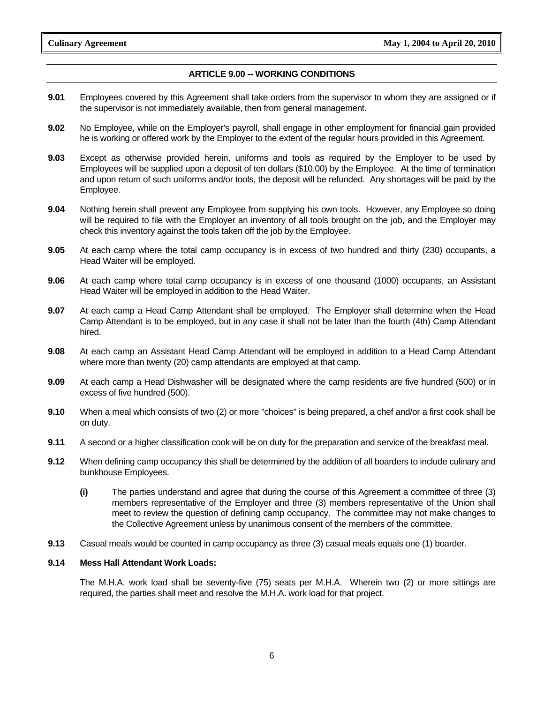#### **ARTICLE 9.00 -- WORKING CONDITIONS**

- **9.01** Employees covered by this Agreement shall take orders from the supervisor to whom they are assigned or if the supervisor is not immediately available, then from general management.
- **9.02** No Employee, while on the Employer's payroll, shall engage in other employment for financial gain provided he is working or offered work by the Employer to the extent of the regular hours provided in this Agreement.
- **9.03** Except as otherwise provided herein, uniforms and tools as required by the Employer to be used by Employees will be supplied upon a deposit of ten dollars (\$10.00) by the Employee. At the time of termination and upon return of such uniforms and/or tools, the deposit will be refunded. Any shortages will be paid by the Employee.
- **9.04** Nothing herein shall prevent any Employee from supplying his own tools. However, any Employee so doing will be required to file with the Employer an inventory of all tools brought on the job, and the Employer may check this inventory against the tools taken off the job by the Employee.
- **9.05** At each camp where the total camp occupancy is in excess of two hundred and thirty (230) occupants, a Head Waiter will be employed.
- **9.06** At each camp where total camp occupancy is in excess of one thousand (1000) occupants, an Assistant Head Waiter will be employed in addition to the Head Waiter.
- **9.07** At each camp a Head Camp Attendant shall be employed. The Employer shall determine when the Head Camp Attendant is to be employed, but in any case it shall not be later than the fourth (4th) Camp Attendant hired.
- **9.08** At each camp an Assistant Head Camp Attendant will be employed in addition to a Head Camp Attendant where more than twenty (20) camp attendants are employed at that camp.
- **9.09** At each camp a Head Dishwasher will be designated where the camp residents are five hundred (500) or in excess of five hundred (500).
- **9.10** When a meal which consists of two (2) or more "choices" is being prepared, a chef and/or a first cook shall be on duty.
- **9.11** A second or a higher classification cook will be on duty for the preparation and service of the breakfast meal.
- **9.12** When defining camp occupancy this shall be determined by the addition of all boarders to include culinary and bunkhouse Employees.
	- **(i)** The parties understand and agree that during the course of this Agreement a committee of three (3) members representative of the Employer and three (3) members representative of the Union shall meet to review the question of defining camp occupancy. The committee may not make changes to the Collective Agreement unless by unanimous consent of the members of the committee.
- **9.13** Casual meals would be counted in camp occupancy as three (3) casual meals equals one (1) boarder.

#### **9.14 Mess Hall Attendant Work Loads:**

 The M.H.A. work load shall be seventy-five (75) seats per M.H.A. Wherein two (2) or more sittings are required, the parties shall meet and resolve the M.H.A. work load for that project.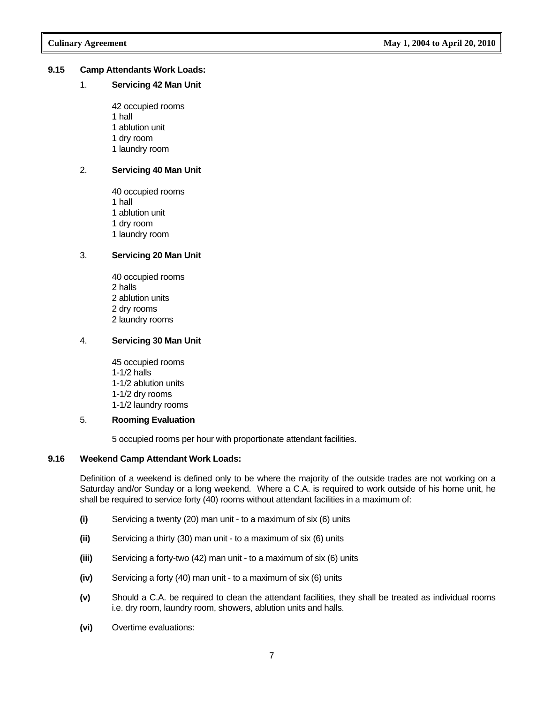#### **9.15 Camp Attendants Work Loads:**

#### 1. **Servicing 42 Man Unit**

 42 occupied rooms 1 hall 1 ablution unit 1 dry room 1 laundry room

#### 2. **Servicing 40 Man Unit**

 40 occupied rooms 1 hall 1 ablution unit 1 dry room 1 laundry room

#### 3. **Servicing 20 Man Unit**

 40 occupied rooms 2 halls 2 ablution units 2 dry rooms 2 laundry rooms

#### 4. **Servicing 30 Man Unit**

 45 occupied rooms 1-1/2 halls 1-1/2 ablution units 1-1/2 dry rooms 1-1/2 laundry rooms

#### 5. **Rooming Evaluation**

5 occupied rooms per hour with proportionate attendant facilities.

#### **9.16 Weekend Camp Attendant Work Loads:**

 Definition of a weekend is defined only to be where the majority of the outside trades are not working on a Saturday and/or Sunday or a long weekend. Where a C.A. is required to work outside of his home unit, he shall be required to service forty (40) rooms without attendant facilities in a maximum of:

- **(i)** Servicing a twenty (20) man unit to a maximum of six (6) units
- **(ii)** Servicing a thirty (30) man unit to a maximum of six (6) units
- **(iii)** Servicing a forty-two (42) man unit to a maximum of six (6) units
- **(iv)** Servicing a forty (40) man unit to a maximum of six (6) units
- **(v)** Should a C.A. be required to clean the attendant facilities, they shall be treated as individual rooms i.e. dry room, laundry room, showers, ablution units and halls.
- **(vi)** Overtime evaluations: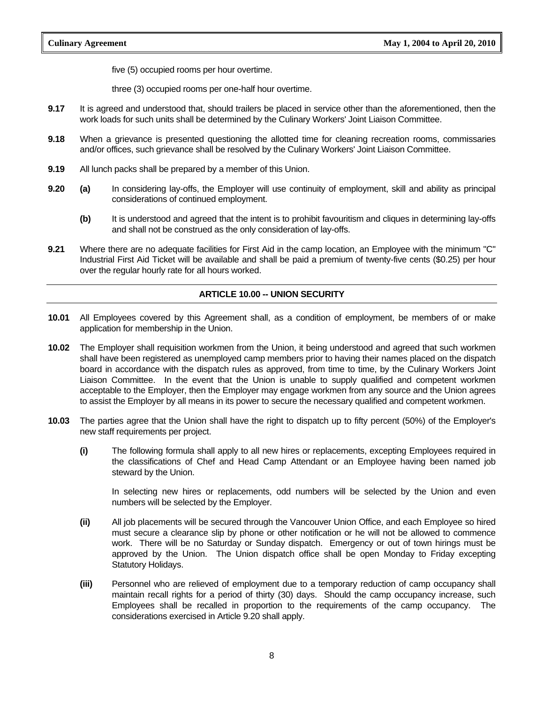five (5) occupied rooms per hour overtime.

three (3) occupied rooms per one-half hour overtime.

- **9.17** It is agreed and understood that, should trailers be placed in service other than the aforementioned, then the work loads for such units shall be determined by the Culinary Workers' Joint Liaison Committee.
- **9.18** When a grievance is presented questioning the allotted time for cleaning recreation rooms, commissaries and/or offices, such grievance shall be resolved by the Culinary Workers' Joint Liaison Committee.
- **9.19** All lunch packs shall be prepared by a member of this Union.
- **9.20 (a)** In considering lay-offs, the Employer will use continuity of employment, skill and ability as principal considerations of continued employment.
	- **(b)** It is understood and agreed that the intent is to prohibit favouritism and cliques in determining lay-offs and shall not be construed as the only consideration of lay-offs.
- **9.21** Where there are no adequate facilities for First Aid in the camp location, an Employee with the minimum "C" Industrial First Aid Ticket will be available and shall be paid a premium of twenty-five cents (\$0.25) per hour over the regular hourly rate for all hours worked.

### **ARTICLE 10.00 -- UNION SECURITY**

- **10.01** All Employees covered by this Agreement shall, as a condition of employment, be members of or make application for membership in the Union.
- **10.02** The Employer shall requisition workmen from the Union, it being understood and agreed that such workmen shall have been registered as unemployed camp members prior to having their names placed on the dispatch board in accordance with the dispatch rules as approved, from time to time, by the Culinary Workers Joint Liaison Committee. In the event that the Union is unable to supply qualified and competent workmen acceptable to the Employer, then the Employer may engage workmen from any source and the Union agrees to assist the Employer by all means in its power to secure the necessary qualified and competent workmen.
- **10.03** The parties agree that the Union shall have the right to dispatch up to fifty percent (50%) of the Employer's new staff requirements per project.
	- **(i)** The following formula shall apply to all new hires or replacements, excepting Employees required in the classifications of Chef and Head Camp Attendant or an Employee having been named job steward by the Union.

 In selecting new hires or replacements, odd numbers will be selected by the Union and even numbers will be selected by the Employer.

- **(ii)** All job placements will be secured through the Vancouver Union Office, and each Employee so hired must secure a clearance slip by phone or other notification or he will not be allowed to commence work. There will be no Saturday or Sunday dispatch. Emergency or out of town hirings must be approved by the Union. The Union dispatch office shall be open Monday to Friday excepting Statutory Holidays.
- **(iii)** Personnel who are relieved of employment due to a temporary reduction of camp occupancy shall maintain recall rights for a period of thirty (30) days. Should the camp occupancy increase, such Employees shall be recalled in proportion to the requirements of the camp occupancy. The considerations exercised in Article 9.20 shall apply.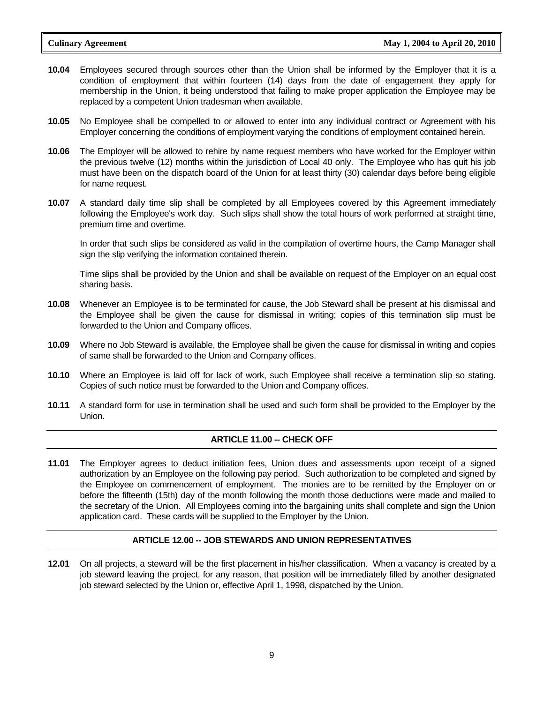- **10.04** Employees secured through sources other than the Union shall be informed by the Employer that it is a condition of employment that within fourteen (14) days from the date of engagement they apply for membership in the Union, it being understood that failing to make proper application the Employee may be replaced by a competent Union tradesman when available.
- **10.05** No Employee shall be compelled to or allowed to enter into any individual contract or Agreement with his Employer concerning the conditions of employment varying the conditions of employment contained herein.
- **10.06** The Employer will be allowed to rehire by name request members who have worked for the Employer within the previous twelve (12) months within the jurisdiction of Local 40 only. The Employee who has quit his job must have been on the dispatch board of the Union for at least thirty (30) calendar days before being eligible for name request.
- **10.07** A standard daily time slip shall be completed by all Employees covered by this Agreement immediately following the Employee's work day. Such slips shall show the total hours of work performed at straight time, premium time and overtime.

 In order that such slips be considered as valid in the compilation of overtime hours, the Camp Manager shall sign the slip verifying the information contained therein.

 Time slips shall be provided by the Union and shall be available on request of the Employer on an equal cost sharing basis.

- **10.08** Whenever an Employee is to be terminated for cause, the Job Steward shall be present at his dismissal and the Employee shall be given the cause for dismissal in writing; copies of this termination slip must be forwarded to the Union and Company offices.
- **10.09** Where no Job Steward is available, the Employee shall be given the cause for dismissal in writing and copies of same shall be forwarded to the Union and Company offices.
- **10.10** Where an Employee is laid off for lack of work, such Employee shall receive a termination slip so stating. Copies of such notice must be forwarded to the Union and Company offices.
- **10.11** A standard form for use in termination shall be used and such form shall be provided to the Employer by the Union.

#### **ARTICLE 11.00 -- CHECK OFF**

**11.01** The Employer agrees to deduct initiation fees, Union dues and assessments upon receipt of a signed authorization by an Employee on the following pay period. Such authorization to be completed and signed by the Employee on commencement of employment. The monies are to be remitted by the Employer on or before the fifteenth (15th) day of the month following the month those deductions were made and mailed to the secretary of the Union. All Employees coming into the bargaining units shall complete and sign the Union application card. These cards will be supplied to the Employer by the Union.

#### **ARTICLE 12.00 -- JOB STEWARDS AND UNION REPRESENTATIVES**

**12.01** On all projects, a steward will be the first placement in his/her classification. When a vacancy is created by a job steward leaving the project, for any reason, that position will be immediately filled by another designated job steward selected by the Union or, effective April 1, 1998, dispatched by the Union.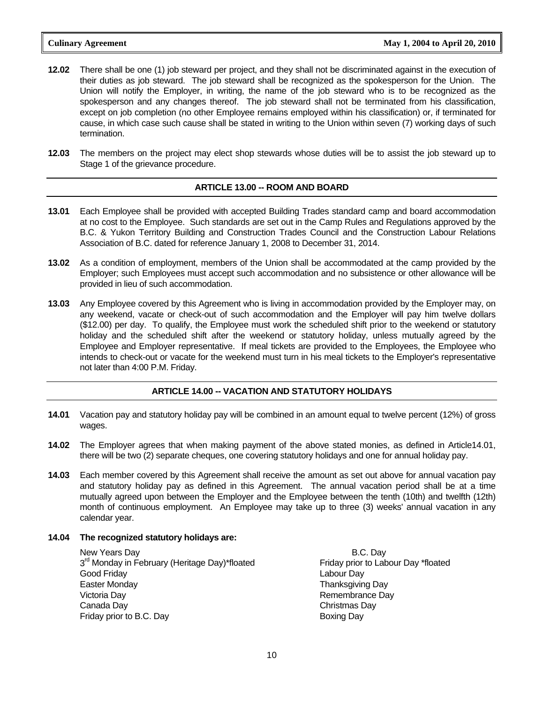- **12.02** There shall be one (1) job steward per project, and they shall not be discriminated against in the execution of their duties as job steward. The job steward shall be recognized as the spokesperson for the Union. The Union will notify the Employer, in writing, the name of the job steward who is to be recognized as the spokesperson and any changes thereof. The job steward shall not be terminated from his classification, except on job completion (no other Employee remains employed within his classification) or, if terminated for cause, in which case such cause shall be stated in writing to the Union within seven (7) working days of such termination.
- **12.03** The members on the project may elect shop stewards whose duties will be to assist the job steward up to Stage 1 of the grievance procedure.

#### **ARTICLE 13.00 -- ROOM AND BOARD**

- **13.01** Each Employee shall be provided with accepted Building Trades standard camp and board accommodation at no cost to the Employee. Such standards are set out in the Camp Rules and Regulations approved by the B.C. & Yukon Territory Building and Construction Trades Council and the Construction Labour Relations Association of B.C. dated for reference January 1, 2008 to December 31, 2014.
- **13.02** As a condition of employment, members of the Union shall be accommodated at the camp provided by the Employer; such Employees must accept such accommodation and no subsistence or other allowance will be provided in lieu of such accommodation.
- **13.03** Any Employee covered by this Agreement who is living in accommodation provided by the Employer may, on any weekend, vacate or check-out of such accommodation and the Employer will pay him twelve dollars (\$12.00) per day. To qualify, the Employee must work the scheduled shift prior to the weekend or statutory holiday and the scheduled shift after the weekend or statutory holiday, unless mutually agreed by the Employee and Employer representative. If meal tickets are provided to the Employees, the Employee who intends to check-out or vacate for the weekend must turn in his meal tickets to the Employer's representative not later than 4:00 P.M. Friday.

#### **ARTICLE 14.00 -- VACATION AND STATUTORY HOLIDAYS**

- **14.01** Vacation pay and statutory holiday pay will be combined in an amount equal to twelve percent (12%) of gross wages.
- **14.02** The Employer agrees that when making payment of the above stated monies, as defined in Article14.01, there will be two (2) separate cheques, one covering statutory holidays and one for annual holiday pay.
- **14.03** Each member covered by this Agreement shall receive the amount as set out above for annual vacation pay and statutory holiday pay as defined in this Agreement. The annual vacation period shall be at a time mutually agreed upon between the Employer and the Employee between the tenth (10th) and twelfth (12th) month of continuous employment. An Employee may take up to three (3) weeks' annual vacation in any calendar year.

#### **14.04 The recognized statutory holidays are:**

 New Years Day 3<sup>rd</sup> Monday in February (Heritage Day)\*floated Good Friday Easter Monday Victoria Day Canada Day Friday prior to B.C. Day

 B.C. Day Friday prior to Labour Day \*floated Labour Day Thanksgiving Day Remembrance Day Christmas Day Boxing Day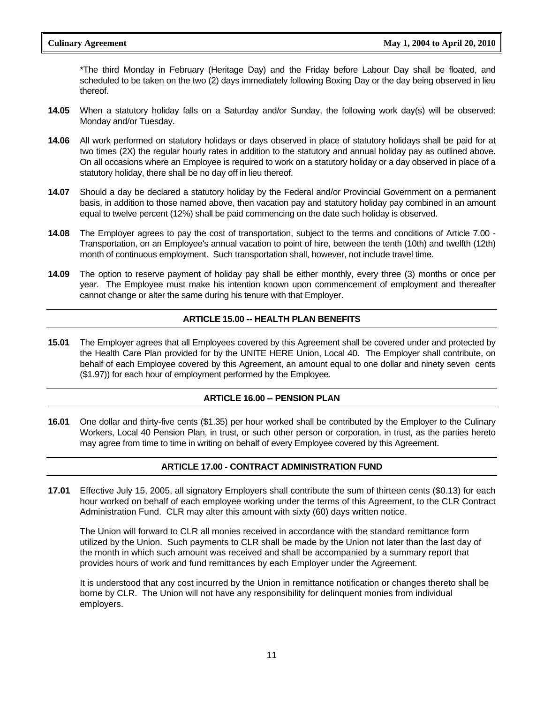\*The third Monday in February (Heritage Day) and the Friday before Labour Day shall be floated, and scheduled to be taken on the two (2) days immediately following Boxing Day or the day being observed in lieu thereof.

- **14.05** When a statutory holiday falls on a Saturday and/or Sunday, the following work day(s) will be observed: Monday and/or Tuesday.
- **14.06** All work performed on statutory holidays or days observed in place of statutory holidays shall be paid for at two times (2X) the regular hourly rates in addition to the statutory and annual holiday pay as outlined above. On all occasions where an Employee is required to work on a statutory holiday or a day observed in place of a statutory holiday, there shall be no day off in lieu thereof.
- **14.07** Should a day be declared a statutory holiday by the Federal and/or Provincial Government on a permanent basis, in addition to those named above, then vacation pay and statutory holiday pay combined in an amount equal to twelve percent (12%) shall be paid commencing on the date such holiday is observed.
- **14.08** The Employer agrees to pay the cost of transportation, subject to the terms and conditions of Article 7.00 Transportation, on an Employee's annual vacation to point of hire, between the tenth (10th) and twelfth (12th) month of continuous employment. Such transportation shall, however, not include travel time.
- **14.09** The option to reserve payment of holiday pay shall be either monthly, every three (3) months or once per year. The Employee must make his intention known upon commencement of employment and thereafter cannot change or alter the same during his tenure with that Employer.

#### **ARTICLE 15.00 -- HEALTH PLAN BENEFITS**

**15.01** The Employer agrees that all Employees covered by this Agreement shall be covered under and protected by the Health Care Plan provided for by the UNITE HERE Union, Local 40. The Employer shall contribute, on behalf of each Employee covered by this Agreement, an amount equal to one dollar and ninety seven cents (\$1.97)) for each hour of employment performed by the Employee.

#### **ARTICLE 16.00 -- PENSION PLAN**

**16.01** One dollar and thirty-five cents (\$1.35) per hour worked shall be contributed by the Employer to the Culinary Workers, Local 40 Pension Plan, in trust, or such other person or corporation, in trust, as the parties hereto may agree from time to time in writing on behalf of every Employee covered by this Agreement.

#### **ARTICLE 17.00 - CONTRACT ADMINISTRATION FUND**

**17.01** Effective July 15, 2005, all signatory Employers shall contribute the sum of thirteen cents (\$0.13) for each hour worked on behalf of each employee working under the terms of this Agreement, to the CLR Contract Administration Fund. CLR may alter this amount with sixty (60) days written notice.

The Union will forward to CLR all monies received in accordance with the standard remittance form utilized by the Union. Such payments to CLR shall be made by the Union not later than the last day of the month in which such amount was received and shall be accompanied by a summary report that provides hours of work and fund remittances by each Employer under the Agreement.

It is understood that any cost incurred by the Union in remittance notification or changes thereto shall be borne by CLR. The Union will not have any responsibility for delinquent monies from individual employers.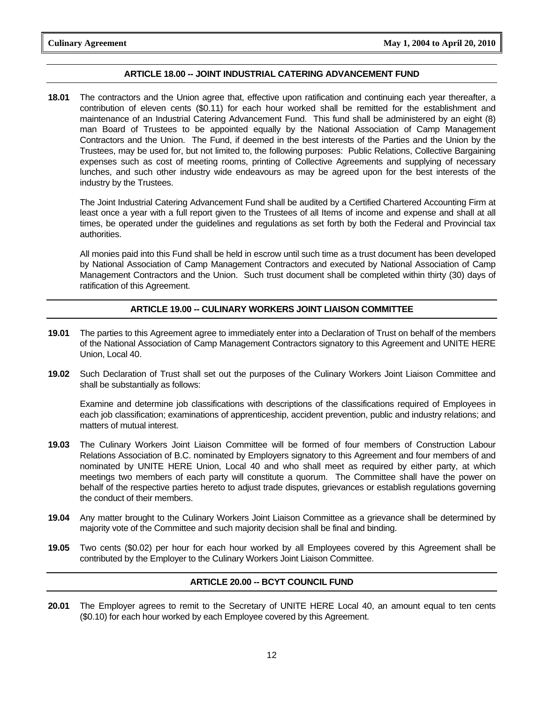#### **ARTICLE 18.00 -- JOINT INDUSTRIAL CATERING ADVANCEMENT FUND**

**18.01** The contractors and the Union agree that, effective upon ratification and continuing each year thereafter, a contribution of eleven cents (\$0.11) for each hour worked shall be remitted for the establishment and maintenance of an Industrial Catering Advancement Fund. This fund shall be administered by an eight (8) man Board of Trustees to be appointed equally by the National Association of Camp Management Contractors and the Union. The Fund, if deemed in the best interests of the Parties and the Union by the Trustees, may be used for, but not limited to, the following purposes: Public Relations, Collective Bargaining expenses such as cost of meeting rooms, printing of Collective Agreements and supplying of necessary lunches, and such other industry wide endeavours as may be agreed upon for the best interests of the industry by the Trustees.

 The Joint Industrial Catering Advancement Fund shall be audited by a Certified Chartered Accounting Firm at least once a year with a full report given to the Trustees of all Items of income and expense and shall at all times, be operated under the guidelines and regulations as set forth by both the Federal and Provincial tax authorities.

 All monies paid into this Fund shall be held in escrow until such time as a trust document has been developed by National Association of Camp Management Contractors and executed by National Association of Camp Management Contractors and the Union. Such trust document shall be completed within thirty (30) days of ratification of this Agreement.

#### **ARTICLE 19.00 -- CULINARY WORKERS JOINT LIAISON COMMITTEE**

- **19.01** The parties to this Agreement agree to immediately enter into a Declaration of Trust on behalf of the members of the National Association of Camp Management Contractors signatory to this Agreement and UNITE HERE Union, Local 40.
- **19.02** Such Declaration of Trust shall set out the purposes of the Culinary Workers Joint Liaison Committee and shall be substantially as follows:

 Examine and determine job classifications with descriptions of the classifications required of Employees in each job classification; examinations of apprenticeship, accident prevention, public and industry relations; and matters of mutual interest.

- **19.03** The Culinary Workers Joint Liaison Committee will be formed of four members of Construction Labour Relations Association of B.C. nominated by Employers signatory to this Agreement and four members of and nominated by UNITE HERE Union, Local 40 and who shall meet as required by either party, at which meetings two members of each party will constitute a quorum. The Committee shall have the power on behalf of the respective parties hereto to adjust trade disputes, grievances or establish regulations governing the conduct of their members.
- **19.04** Any matter brought to the Culinary Workers Joint Liaison Committee as a grievance shall be determined by majority vote of the Committee and such majority decision shall be final and binding.
- **19.05** Two cents (\$0.02) per hour for each hour worked by all Employees covered by this Agreement shall be contributed by the Employer to the Culinary Workers Joint Liaison Committee.

#### **ARTICLE 20.00 -- BCYT COUNCIL FUND**

**20.01** The Employer agrees to remit to the Secretary of UNITE HERE Local 40, an amount equal to ten cents (\$0.10) for each hour worked by each Employee covered by this Agreement.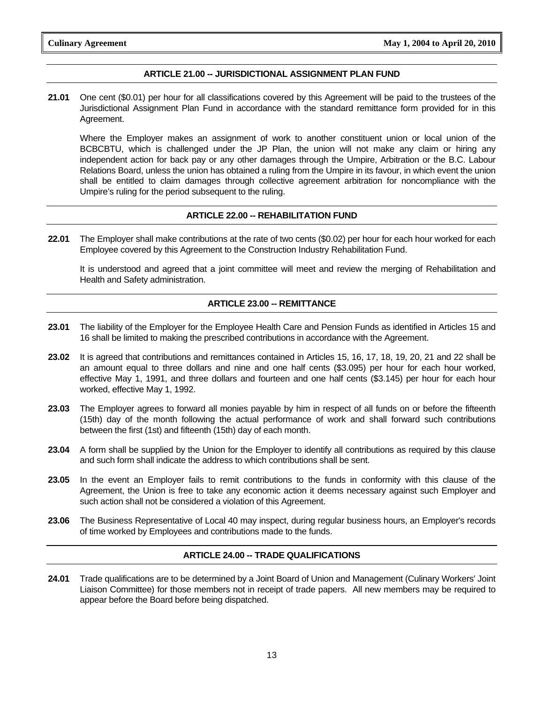#### **ARTICLE 21.00 -- JURISDICTIONAL ASSIGNMENT PLAN FUND**

**21.01** One cent (\$0.01) per hour for all classifications covered by this Agreement will be paid to the trustees of the Jurisdictional Assignment Plan Fund in accordance with the standard remittance form provided for in this Agreement.

 Where the Employer makes an assignment of work to another constituent union or local union of the BCBCBTU, which is challenged under the JP Plan, the union will not make any claim or hiring any independent action for back pay or any other damages through the Umpire, Arbitration or the B.C. Labour Relations Board, unless the union has obtained a ruling from the Umpire in its favour, in which event the union shall be entitled to claim damages through collective agreement arbitration for noncompliance with the Umpire's ruling for the period subsequent to the ruling.

#### **ARTICLE 22.00 -- REHABILITATION FUND**

**22.01** The Employer shall make contributions at the rate of two cents (\$0.02) per hour for each hour worked for each Employee covered by this Agreement to the Construction Industry Rehabilitation Fund.

 It is understood and agreed that a joint committee will meet and review the merging of Rehabilitation and Health and Safety administration.

#### **ARTICLE 23.00 -- REMITTANCE**

- **23.01** The liability of the Employer for the Employee Health Care and Pension Funds as identified in Articles 15 and 16 shall be limited to making the prescribed contributions in accordance with the Agreement.
- **23.02** It is agreed that contributions and remittances contained in Articles 15, 16, 17, 18, 19, 20, 21 and 22 shall be an amount equal to three dollars and nine and one half cents (\$3.095) per hour for each hour worked, effective May 1, 1991, and three dollars and fourteen and one half cents (\$3.145) per hour for each hour worked, effective May 1, 1992.
- **23.03** The Employer agrees to forward all monies payable by him in respect of all funds on or before the fifteenth (15th) day of the month following the actual performance of work and shall forward such contributions between the first (1st) and fifteenth (15th) day of each month.
- **23.04** A form shall be supplied by the Union for the Employer to identify all contributions as required by this clause and such form shall indicate the address to which contributions shall be sent.
- **23.05** In the event an Employer fails to remit contributions to the funds in conformity with this clause of the Agreement, the Union is free to take any economic action it deems necessary against such Employer and such action shall not be considered a violation of this Agreement.
- **23.06** The Business Representative of Local 40 may inspect, during regular business hours, an Employer's records of time worked by Employees and contributions made to the funds.

#### **ARTICLE 24.00 -- TRADE QUALIFICATIONS**

**24.01** Trade qualifications are to be determined by a Joint Board of Union and Management (Culinary Workers' Joint Liaison Committee) for those members not in receipt of trade papers. All new members may be required to appear before the Board before being dispatched.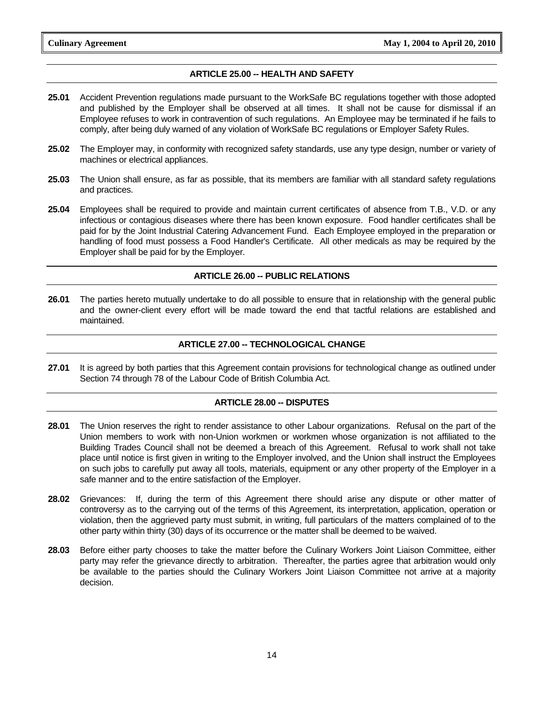#### **ARTICLE 25.00 -- HEALTH AND SAFETY**

- **25.01** Accident Prevention regulations made pursuant to the WorkSafe BC regulations together with those adopted and published by the Employer shall be observed at all times. It shall not be cause for dismissal if an Employee refuses to work in contravention of such regulations. An Employee may be terminated if he fails to comply, after being duly warned of any violation of WorkSafe BC regulations or Employer Safety Rules.
- **25.02** The Employer may, in conformity with recognized safety standards, use any type design, number or variety of machines or electrical appliances.
- **25.03** The Union shall ensure, as far as possible, that its members are familiar with all standard safety regulations and practices.
- **25.04** Employees shall be required to provide and maintain current certificates of absence from T.B., V.D. or any infectious or contagious diseases where there has been known exposure. Food handler certificates shall be paid for by the Joint Industrial Catering Advancement Fund. Each Employee employed in the preparation or handling of food must possess a Food Handler's Certificate. All other medicals as may be required by the Employer shall be paid for by the Employer.

#### **ARTICLE 26.00 -- PUBLIC RELATIONS**

**26.01** The parties hereto mutually undertake to do all possible to ensure that in relationship with the general public and the owner-client every effort will be made toward the end that tactful relations are established and maintained.

#### **ARTICLE 27.00 -- TECHNOLOGICAL CHANGE**

**27.01** It is agreed by both parties that this Agreement contain provisions for technological change as outlined under Section 74 through 78 of the Labour Code of British Columbia Act.

#### **ARTICLE 28.00 -- DISPUTES**

- **28.01** The Union reserves the right to render assistance to other Labour organizations. Refusal on the part of the Union members to work with non-Union workmen or workmen whose organization is not affiliated to the Building Trades Council shall not be deemed a breach of this Agreement. Refusal to work shall not take place until notice is first given in writing to the Employer involved, and the Union shall instruct the Employees on such jobs to carefully put away all tools, materials, equipment or any other property of the Employer in a safe manner and to the entire satisfaction of the Employer.
- **28.02** Grievances: If, during the term of this Agreement there should arise any dispute or other matter of controversy as to the carrying out of the terms of this Agreement, its interpretation, application, operation or violation, then the aggrieved party must submit, in writing, full particulars of the matters complained of to the other party within thirty (30) days of its occurrence or the matter shall be deemed to be waived.
- **28.03** Before either party chooses to take the matter before the Culinary Workers Joint Liaison Committee, either party may refer the grievance directly to arbitration. Thereafter, the parties agree that arbitration would only be available to the parties should the Culinary Workers Joint Liaison Committee not arrive at a majority decision.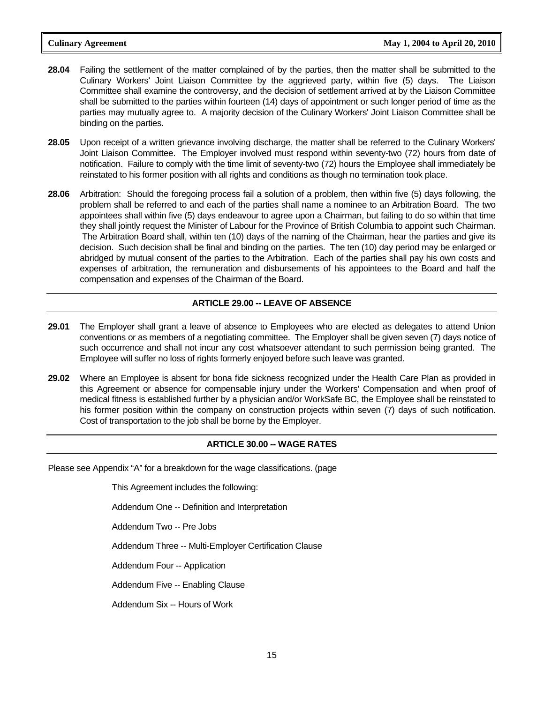- **28.04** Failing the settlement of the matter complained of by the parties, then the matter shall be submitted to the Culinary Workers' Joint Liaison Committee by the aggrieved party, within five (5) days. The Liaison Committee shall examine the controversy, and the decision of settlement arrived at by the Liaison Committee shall be submitted to the parties within fourteen (14) days of appointment or such longer period of time as the parties may mutually agree to. A majority decision of the Culinary Workers' Joint Liaison Committee shall be binding on the parties.
- **28.05** Upon receipt of a written grievance involving discharge, the matter shall be referred to the Culinary Workers' Joint Liaison Committee. The Employer involved must respond within seventy-two (72) hours from date of notification. Failure to comply with the time limit of seventy-two (72) hours the Employee shall immediately be reinstated to his former position with all rights and conditions as though no termination took place.
- **28.06** Arbitration: Should the foregoing process fail a solution of a problem, then within five (5) days following, the problem shall be referred to and each of the parties shall name a nominee to an Arbitration Board. The two appointees shall within five (5) days endeavour to agree upon a Chairman, but failing to do so within that time they shall jointly request the Minister of Labour for the Province of British Columbia to appoint such Chairman. The Arbitration Board shall, within ten (10) days of the naming of the Chairman, hear the parties and give its decision. Such decision shall be final and binding on the parties. The ten (10) day period may be enlarged or abridged by mutual consent of the parties to the Arbitration. Each of the parties shall pay his own costs and expenses of arbitration, the remuneration and disbursements of his appointees to the Board and half the compensation and expenses of the Chairman of the Board.

#### **ARTICLE 29.00 -- LEAVE OF ABSENCE**

- **29.01** The Employer shall grant a leave of absence to Employees who are elected as delegates to attend Union conventions or as members of a negotiating committee. The Employer shall be given seven (7) days notice of such occurrence and shall not incur any cost whatsoever attendant to such permission being granted. The Employee will suffer no loss of rights formerly enjoyed before such leave was granted.
- **29.02** Where an Employee is absent for bona fide sickness recognized under the Health Care Plan as provided in this Agreement or absence for compensable injury under the Workers' Compensation and when proof of medical fitness is established further by a physician and/or WorkSafe BC, the Employee shall be reinstated to his former position within the company on construction projects within seven (7) days of such notification. Cost of transportation to the job shall be borne by the Employer.

#### **ARTICLE 30.00 -- WAGE RATES**

Please see Appendix "A" for a breakdown for the wage classifications. (page

This Agreement includes the following:

Addendum One -- Definition and Interpretation

Addendum Two -- Pre Jobs

Addendum Three -- Multi-Employer Certification Clause

Addendum Four -- Application

Addendum Five -- Enabling Clause

Addendum Six -- Hours of Work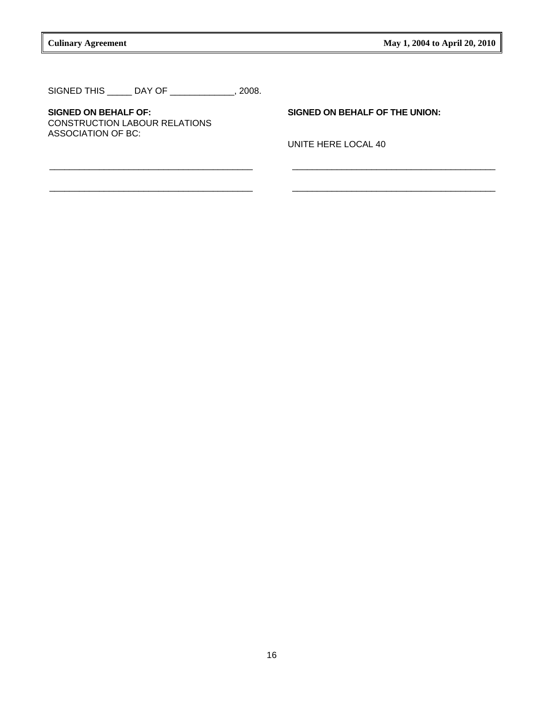SIGNED THIS \_\_\_\_\_ DAY OF \_\_\_\_\_\_\_\_\_\_\_\_\_, 2008.

**SIGNED ON BEHALF OF: SIGNED ON BEHALF OF THE UNION:**  CONSTRUCTION LABOUR RELATIONS ASSOCIATION OF BC:

UNITE HERE LOCAL 40

\_\_\_\_\_\_\_\_\_\_\_\_\_\_\_\_\_\_\_\_\_\_\_\_\_\_\_\_\_\_\_\_\_\_\_\_\_\_\_\_\_ \_\_\_\_\_\_\_\_\_\_\_\_\_\_\_\_\_\_\_\_\_\_\_\_\_\_\_\_\_\_\_\_\_\_\_\_\_\_\_\_\_

\_\_\_\_\_\_\_\_\_\_\_\_\_\_\_\_\_\_\_\_\_\_\_\_\_\_\_\_\_\_\_\_\_\_\_\_\_\_\_\_\_ \_\_\_\_\_\_\_\_\_\_\_\_\_\_\_\_\_\_\_\_\_\_\_\_\_\_\_\_\_\_\_\_\_\_\_\_\_\_\_\_\_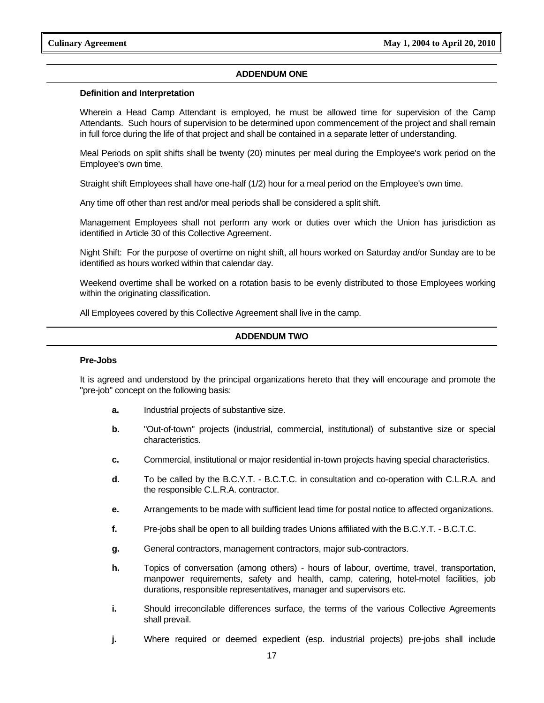#### **ADDENDUM ONE**

#### **Definition and Interpretation**

 Wherein a Head Camp Attendant is employed, he must be allowed time for supervision of the Camp Attendants. Such hours of supervision to be determined upon commencement of the project and shall remain in full force during the life of that project and shall be contained in a separate letter of understanding.

 Meal Periods on split shifts shall be twenty (20) minutes per meal during the Employee's work period on the Employee's own time.

Straight shift Employees shall have one-half (1/2) hour for a meal period on the Employee's own time.

Any time off other than rest and/or meal periods shall be considered a split shift.

 Management Employees shall not perform any work or duties over which the Union has jurisdiction as identified in Article 30 of this Collective Agreement.

 Night Shift: For the purpose of overtime on night shift, all hours worked on Saturday and/or Sunday are to be identified as hours worked within that calendar day.

 Weekend overtime shall be worked on a rotation basis to be evenly distributed to those Employees working within the originating classification.

All Employees covered by this Collective Agreement shall live in the camp.

#### **ADDENDUM TWO**

#### **Pre-Jobs**

It is agreed and understood by the principal organizations hereto that they will encourage and promote the "pre-job" concept on the following basis:

- **a.** Industrial projects of substantive size.
- **b.** "Out-of-town" projects (industrial, commercial, institutional) of substantive size or special characteristics.
- **c.** Commercial, institutional or major residential in-town projects having special characteristics.
- **d.** To be called by the B.C.Y.T. B.C.T.C. in consultation and co-operation with C.L.R.A. and the responsible C.L.R.A. contractor.
- **e.** Arrangements to be made with sufficient lead time for postal notice to affected organizations.
- **f.** Pre-jobs shall be open to all building trades Unions affiliated with the B.C.Y.T. B.C.T.C.
- **g.** General contractors, management contractors, major sub-contractors.
- **h.** Topics of conversation (among others) hours of labour, overtime, travel, transportation, manpower requirements, safety and health, camp, catering, hotel-motel facilities, job durations, responsible representatives, manager and supervisors etc.
- **i.** Should irreconcilable differences surface, the terms of the various Collective Agreements shall prevail.
- **j.** Where required or deemed expedient (esp. industrial projects) pre-jobs shall include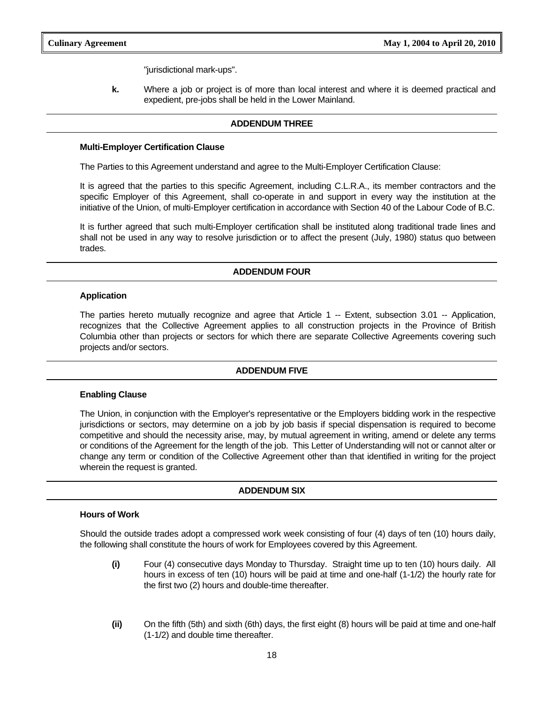"jurisdictional mark-ups".

**k.** Where a job or project is of more than local interest and where it is deemed practical and expedient, pre-jobs shall be held in the Lower Mainland.

#### **ADDENDUM THREE**

#### **Multi-Employer Certification Clause**

The Parties to this Agreement understand and agree to the Multi-Employer Certification Clause:

 It is agreed that the parties to this specific Agreement, including C.L.R.A., its member contractors and the specific Employer of this Agreement, shall co-operate in and support in every way the institution at the initiative of the Union, of multi-Employer certification in accordance with Section 40 of the Labour Code of B.C.

 It is further agreed that such multi-Employer certification shall be instituted along traditional trade lines and shall not be used in any way to resolve jurisdiction or to affect the present (July, 1980) status quo between trades.

#### **ADDENDUM FOUR**

#### **Application**

 The parties hereto mutually recognize and agree that Article 1 -- Extent, subsection 3.01 -- Application, recognizes that the Collective Agreement applies to all construction projects in the Province of British Columbia other than projects or sectors for which there are separate Collective Agreements covering such projects and/or sectors.

#### **ADDENDUM FIVE**

#### **Enabling Clause**

 The Union, in conjunction with the Employer's representative or the Employers bidding work in the respective jurisdictions or sectors, may determine on a job by job basis if special dispensation is required to become competitive and should the necessity arise, may, by mutual agreement in writing, amend or delete any terms or conditions of the Agreement for the length of the job. This Letter of Understanding will not or cannot alter or change any term or condition of the Collective Agreement other than that identified in writing for the project wherein the request is granted.

#### **ADDENDUM SIX**

#### **Hours of Work**

 Should the outside trades adopt a compressed work week consisting of four (4) days of ten (10) hours daily, the following shall constitute the hours of work for Employees covered by this Agreement.

- **(i)** Four (4) consecutive days Monday to Thursday. Straight time up to ten (10) hours daily. All hours in excess of ten (10) hours will be paid at time and one-half (1-1/2) the hourly rate for the first two (2) hours and double-time thereafter.
- **(ii)** On the fifth (5th) and sixth (6th) days, the first eight (8) hours will be paid at time and one-half (1-1/2) and double time thereafter.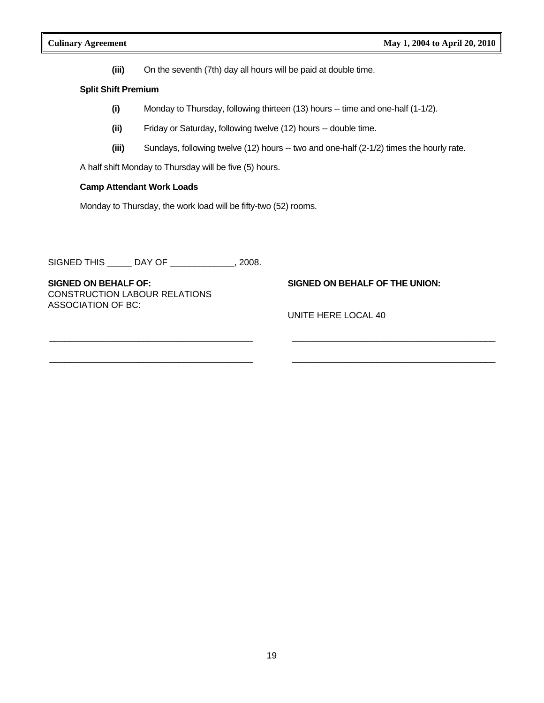**(iii)** On the seventh (7th) day all hours will be paid at double time.

#### **Split Shift Premium**

 **(i)** Monday to Thursday, following thirteen (13) hours -- time and one-half (1-1/2).

\_\_\_\_\_\_\_\_\_\_\_\_\_\_\_\_\_\_\_\_\_\_\_\_\_\_\_\_\_\_\_\_\_\_\_\_\_\_\_\_\_ \_\_\_\_\_\_\_\_\_\_\_\_\_\_\_\_\_\_\_\_\_\_\_\_\_\_\_\_\_\_\_\_\_\_\_\_\_\_\_\_\_

\_\_\_\_\_\_\_\_\_\_\_\_\_\_\_\_\_\_\_\_\_\_\_\_\_\_\_\_\_\_\_\_\_\_\_\_\_\_\_\_\_ \_\_\_\_\_\_\_\_\_\_\_\_\_\_\_\_\_\_\_\_\_\_\_\_\_\_\_\_\_\_\_\_\_\_\_\_\_\_\_\_\_

- **(ii)** Friday or Saturday, following twelve (12) hours -- double time.
- **(iii)** Sundays, following twelve (12) hours -- two and one-half (2-1/2) times the hourly rate.

A half shift Monday to Thursday will be five (5) hours.

#### **Camp Attendant Work Loads**

Monday to Thursday, the work load will be fifty-two (52) rooms.

SIGNED THIS \_\_\_\_\_ DAY OF \_\_\_\_\_\_\_\_\_\_\_\_\_, 2008.

**SIGNED ON BEHALF OF: SIGNED ON BEHALF OF THE UNION:**  CONSTRUCTION LABOUR RELATIONS ASSOCIATION OF BC:

UNITE HERE LOCAL 40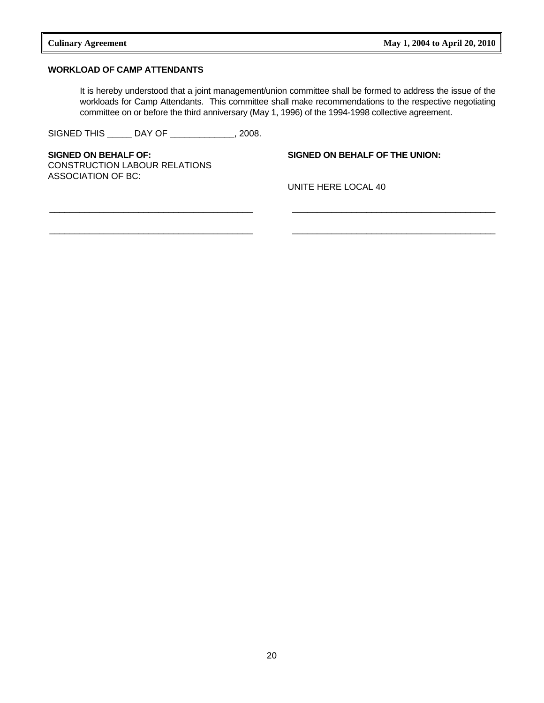#### **WORKLOAD OF CAMP ATTENDANTS**

 It is hereby understood that a joint management/union committee shall be formed to address the issue of the workloads for Camp Attendants. This committee shall make recommendations to the respective negotiating committee on or before the third anniversary (May 1, 1996) of the 1994-1998 collective agreement.

\_\_\_\_\_\_\_\_\_\_\_\_\_\_\_\_\_\_\_\_\_\_\_\_\_\_\_\_\_\_\_\_\_\_\_\_\_\_\_\_\_ \_\_\_\_\_\_\_\_\_\_\_\_\_\_\_\_\_\_\_\_\_\_\_\_\_\_\_\_\_\_\_\_\_\_\_\_\_\_\_\_\_

SIGNED THIS \_\_\_\_\_ DAY OF \_\_\_\_\_\_\_\_\_\_\_\_\_, 2008.

**SIGNED ON BEHALF OF: SIGNED ON BEHALF OF THE UNION:**  CONSTRUCTION LABOUR RELATIONS ASSOCIATION OF BC:

UNITE HERE LOCAL 40

\_\_\_\_\_\_\_\_\_\_\_\_\_\_\_\_\_\_\_\_\_\_\_\_\_\_\_\_\_\_\_\_\_\_\_\_\_\_\_\_\_ \_\_\_\_\_\_\_\_\_\_\_\_\_\_\_\_\_\_\_\_\_\_\_\_\_\_\_\_\_\_\_\_\_\_\_\_\_\_\_\_\_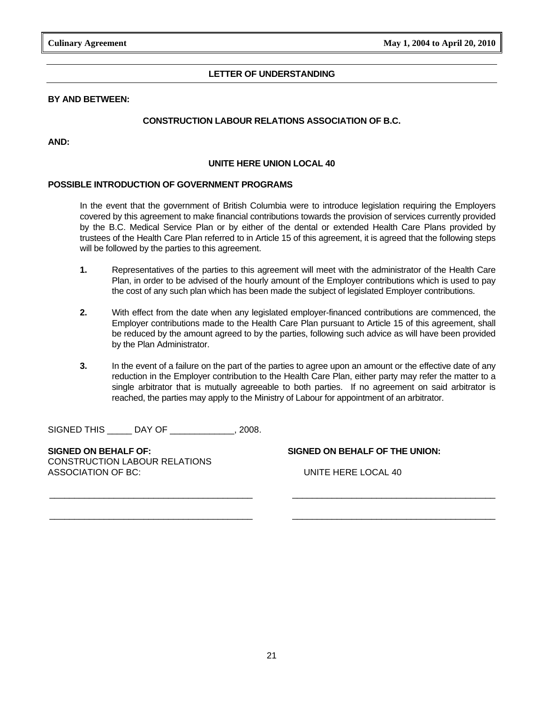#### **LETTER OF UNDERSTANDING**

#### **BY AND BETWEEN:**

#### **CONSTRUCTION LABOUR RELATIONS ASSOCIATION OF B.C.**

**AND:** 

#### **UNITE HERE UNION LOCAL 40**

#### **POSSIBLE INTRODUCTION OF GOVERNMENT PROGRAMS**

 In the event that the government of British Columbia were to introduce legislation requiring the Employers covered by this agreement to make financial contributions towards the provision of services currently provided by the B.C. Medical Service Plan or by either of the dental or extended Health Care Plans provided by trustees of the Health Care Plan referred to in Article 15 of this agreement, it is agreed that the following steps will be followed by the parties to this agreement.

- **1.** Representatives of the parties to this agreement will meet with the administrator of the Health Care Plan, in order to be advised of the hourly amount of the Employer contributions which is used to pay the cost of any such plan which has been made the subject of legislated Employer contributions.
- **2.** With effect from the date when any legislated employer-financed contributions are commenced, the Employer contributions made to the Health Care Plan pursuant to Article 15 of this agreement, shall be reduced by the amount agreed to by the parties, following such advice as will have been provided by the Plan Administrator.
- **3.** In the event of a failure on the part of the parties to agree upon an amount or the effective date of any reduction in the Employer contribution to the Health Care Plan, either party may refer the matter to a single arbitrator that is mutually agreeable to both parties. If no agreement on said arbitrator is reached, the parties may apply to the Ministry of Labour for appointment of an arbitrator.

SIGNED THIS \_\_\_\_\_ DAY OF \_\_\_\_\_\_\_\_\_\_\_\_\_, 2008.

**SIGNED ON BEHALF OF: SIGNED ON BEHALF OF THE UNION:**  CONSTRUCTION LABOUR RELATIONS ASSOCIATION OF BC: UNITE HERE LOCAL 40

\_\_\_\_\_\_\_\_\_\_\_\_\_\_\_\_\_\_\_\_\_\_\_\_\_\_\_\_\_\_\_\_\_\_\_\_\_\_\_\_\_ \_\_\_\_\_\_\_\_\_\_\_\_\_\_\_\_\_\_\_\_\_\_\_\_\_\_\_\_\_\_\_\_\_\_\_\_\_\_\_\_\_

\_\_\_\_\_\_\_\_\_\_\_\_\_\_\_\_\_\_\_\_\_\_\_\_\_\_\_\_\_\_\_\_\_\_\_\_\_\_\_\_\_ \_\_\_\_\_\_\_\_\_\_\_\_\_\_\_\_\_\_\_\_\_\_\_\_\_\_\_\_\_\_\_\_\_\_\_\_\_\_\_\_\_